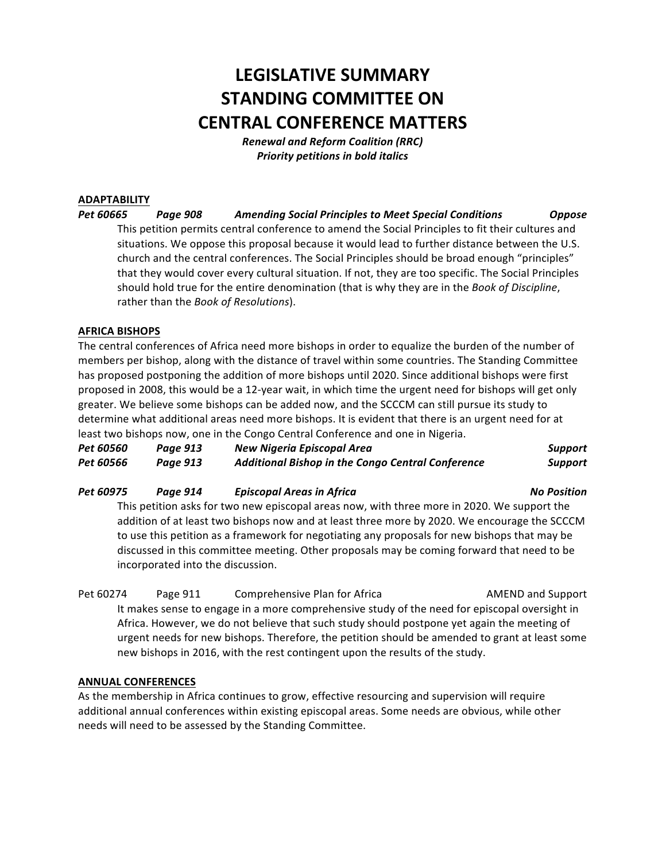# **LEGISLATIVE SUMMARY STANDING COMMITTEE ON CENTRAL CONFERENCE MATTERS**

*Renewal and Reform Coalition (RRC)* **Priority petitions in bold italics** 

#### **ADAPTABILITY**

*Pet 60665 Page 908 Amending Social Principles to Meet Special Conditions Oppose* This petition permits central conference to amend the Social Principles to fit their cultures and situations. We oppose this proposal because it would lead to further distance between the U.S. church and the central conferences. The Social Principles should be broad enough "principles" that they would cover every cultural situation. If not, they are too specific. The Social Principles should hold true for the entire denomination (that is why they are in the *Book of Discipline*, rather than the *Book of Resolutions*).

#### **AFRICA BISHOPS**

The central conferences of Africa need more bishops in order to equalize the burden of the number of members per bishop, along with the distance of travel within some countries. The Standing Committee has proposed postponing the addition of more bishops until 2020. Since additional bishops were first proposed in 2008, this would be a 12-year wait, in which time the urgent need for bishops will get only greater. We believe some bishops can be added now, and the SCCCM can still pursue its study to determine what additional areas need more bishops. It is evident that there is an urgent need for at least two bishops now, one in the Congo Central Conference and one in Nigeria.

| <b>Pet 60560</b> | Page 913 | New Nigeria Episcopal Area                               | Support |
|------------------|----------|----------------------------------------------------------|---------|
| <b>Pet 60566</b> | Page 913 | <b>Additional Bishop in the Congo Central Conference</b> | Support |

#### *Pet 60975 Page 914 Episcopal Areas in Africa No Position*

This petition asks for two new episcopal areas now, with three more in 2020. We support the addition of at least two bishops now and at least three more by 2020. We encourage the SCCCM to use this petition as a framework for negotiating any proposals for new bishops that may be discussed in this committee meeting. Other proposals may be coming forward that need to be incorporated into the discussion.

Pet 60274 Page 911 Comprehensive Plan for Africa AMEND and Support It makes sense to engage in a more comprehensive study of the need for episcopal oversight in Africa. However, we do not believe that such study should postpone yet again the meeting of urgent needs for new bishops. Therefore, the petition should be amended to grant at least some new bishops in 2016, with the rest contingent upon the results of the study.

#### **ANNUAL CONFERENCES**

As the membership in Africa continues to grow, effective resourcing and supervision will require additional annual conferences within existing episcopal areas. Some needs are obvious, while other needs will need to be assessed by the Standing Committee.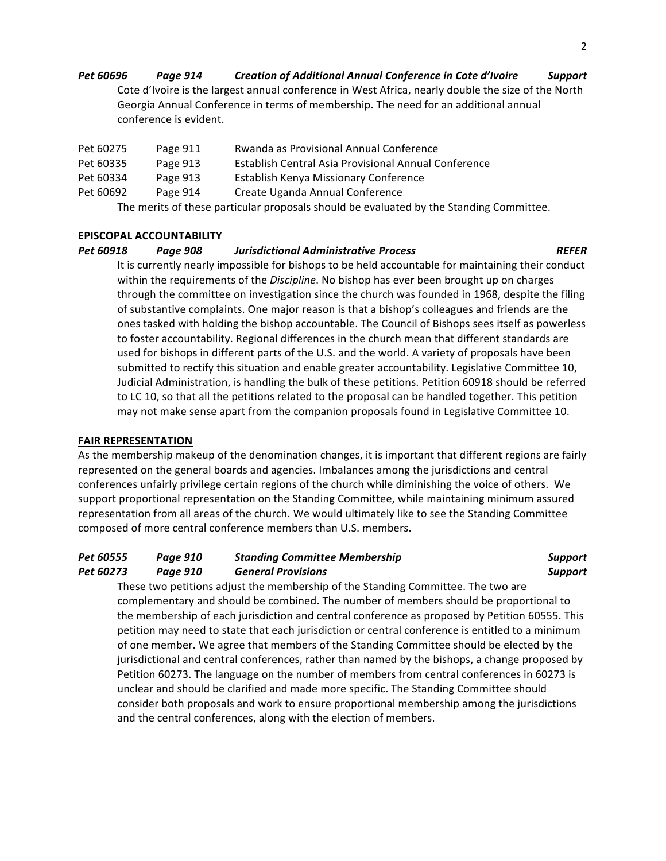### *Pet 60696 Page 914 Creation of Additional Annual Conference in Cote d'Ivoire Support* Cote d'Ivoire is the largest annual conference in West Africa, nearly double the size of the North Georgia Annual Conference in terms of membership. The need for an additional annual conference is evident.

| Pet 60275                                                                               | Page 911 | Rwanda as Provisional Annual Conference              |  |  |
|-----------------------------------------------------------------------------------------|----------|------------------------------------------------------|--|--|
| Pet 60335                                                                               | Page 913 | Establish Central Asia Provisional Annual Conference |  |  |
| Pet 60334                                                                               | Page 913 | Establish Kenya Missionary Conference                |  |  |
| Pet 60692                                                                               | Page 914 | Create Uganda Annual Conference                      |  |  |
| The merits of these particular proposals should be evaluated by the Standing Committee. |          |                                                      |  |  |

#### **EPISCOPAL ACCOUNTABILITY**

#### *Pet 60918 Page 908 Jurisdictional Administrative Process REFER*

It is currently nearly impossible for bishops to be held accountable for maintaining their conduct within the requirements of the *Discipline*. No bishop has ever been brought up on charges through the committee on investigation since the church was founded in 1968, despite the filing of substantive complaints. One major reason is that a bishop's colleagues and friends are the ones tasked with holding the bishop accountable. The Council of Bishops sees itself as powerless to foster accountability. Regional differences in the church mean that different standards are used for bishops in different parts of the U.S. and the world. A variety of proposals have been submitted to rectify this situation and enable greater accountability. Legislative Committee 10, Judicial Administration, is handling the bulk of these petitions. Petition 60918 should be referred to LC 10, so that all the petitions related to the proposal can be handled together. This petition may not make sense apart from the companion proposals found in Legislative Committee 10.

#### **FAIR REPRESENTATION**

As the membership makeup of the denomination changes, it is important that different regions are fairly represented on the general boards and agencies. Imbalances among the jurisdictions and central conferences unfairly privilege certain regions of the church while diminishing the voice of others. We support proportional representation on the Standing Committee, while maintaining minimum assured representation from all areas of the church. We would ultimately like to see the Standing Committee composed of more central conference members than U.S. members.

#### *Pet 60555 Page 910 Standing Committee Membership Support Pet 60273 Page 910 General Provisions Support*

These two petitions adjust the membership of the Standing Committee. The two are complementary and should be combined. The number of members should be proportional to the membership of each jurisdiction and central conference as proposed by Petition 60555. This petition may need to state that each jurisdiction or central conference is entitled to a minimum of one member. We agree that members of the Standing Committee should be elected by the jurisdictional and central conferences, rather than named by the bishops, a change proposed by Petition 60273. The language on the number of members from central conferences in 60273 is unclear and should be clarified and made more specific. The Standing Committee should consider both proposals and work to ensure proportional membership among the jurisdictions and the central conferences, along with the election of members.